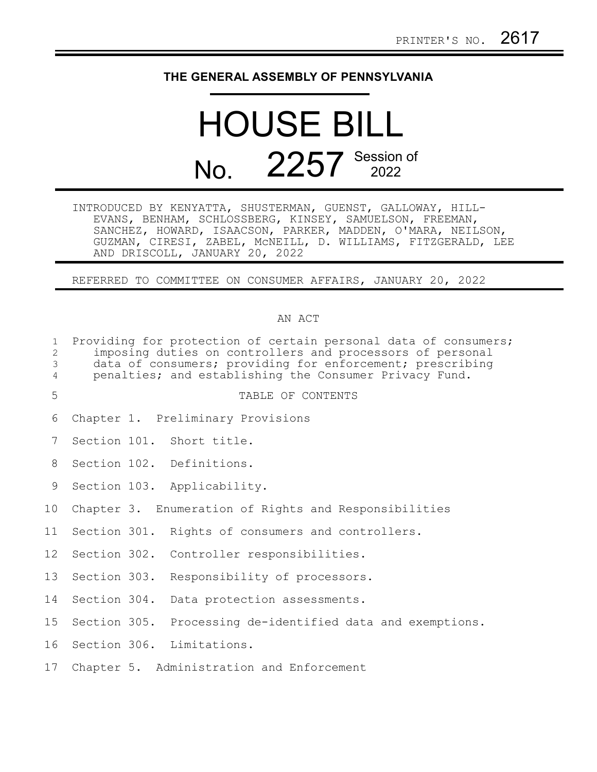### **THE GENERAL ASSEMBLY OF PENNSYLVANIA**

# HOUSE BILL No. 2257 Session of

INTRODUCED BY KENYATTA, SHUSTERMAN, GUENST, GALLOWAY, HILL-EVANS, BENHAM, SCHLOSSBERG, KINSEY, SAMUELSON, FREEMAN, SANCHEZ, HOWARD, ISAACSON, PARKER, MADDEN, O'MARA, NEILSON, GUZMAN, CIRESI, ZABEL, McNEILL, D. WILLIAMS, FITZGERALD, LEE AND DRISCOLL, JANUARY 20, 2022

REFERRED TO COMMITTEE ON CONSUMER AFFAIRS, JANUARY 20, 2022

#### AN ACT

| Providing for protection of certain personal data of consumers;<br>$\mathbf{1}$<br>imposing duties on controllers and processors of personal<br>2<br>data of consumers; providing for enforcement; prescribing<br>$\mathfrak{Z}$<br>penalties; and establishing the Consumer Privacy Fund.<br>4 |  |                                                                                                     |
|-------------------------------------------------------------------------------------------------------------------------------------------------------------------------------------------------------------------------------------------------------------------------------------------------|--|-----------------------------------------------------------------------------------------------------|
|                                                                                                                                                                                                                                                                                                 |  | TABLE OF CONTENTS                                                                                   |
|                                                                                                                                                                                                                                                                                                 |  | Chapter 1. Preliminary Provisions                                                                   |
|                                                                                                                                                                                                                                                                                                 |  |                                                                                                     |
|                                                                                                                                                                                                                                                                                                 |  |                                                                                                     |
|                                                                                                                                                                                                                                                                                                 |  | Section 103. Applicability.                                                                         |
|                                                                                                                                                                                                                                                                                                 |  | Chapter 3. Enumeration of Rights and Responsibilities                                               |
|                                                                                                                                                                                                                                                                                                 |  | Section 301. Rights of consumers and controllers.                                                   |
|                                                                                                                                                                                                                                                                                                 |  | Section 302. Controller responsibilities.                                                           |
|                                                                                                                                                                                                                                                                                                 |  | Section 303. Responsibility of processors.                                                          |
|                                                                                                                                                                                                                                                                                                 |  | Data protection assessments.                                                                        |
|                                                                                                                                                                                                                                                                                                 |  | Section 305. Processing de-identified data and exemptions.                                          |
|                                                                                                                                                                                                                                                                                                 |  |                                                                                                     |
|                                                                                                                                                                                                                                                                                                 |  | Chapter 5. Administration and Enforcement                                                           |
|                                                                                                                                                                                                                                                                                                 |  | Section 101. Short title.<br>Section 102. Definitions.<br>Section 304.<br>Section 306. Limitations. |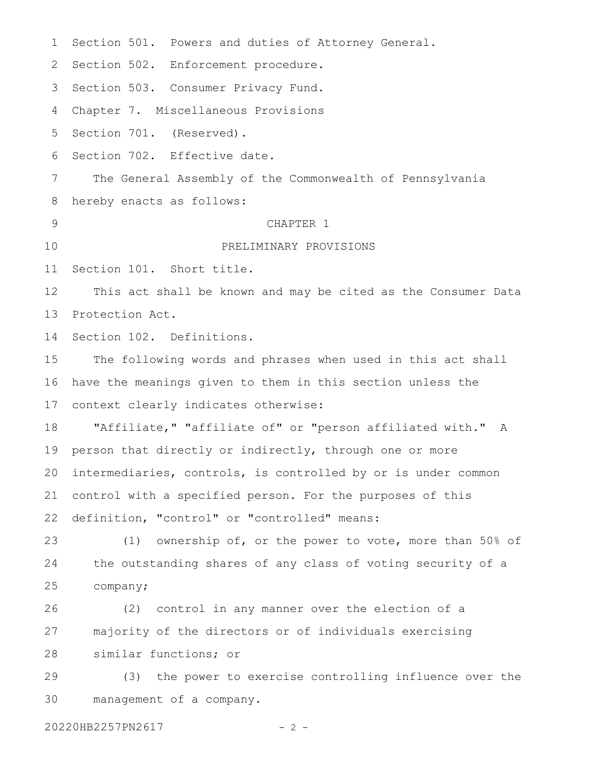Section 501. Powers and duties of Attorney General. Section 502. Enforcement procedure. 3 Section 503. Consumer Privacy Fund. Chapter 7. Miscellaneous Provisions Section 701. (Reserved). Section 702. Effective date. The General Assembly of the Commonwealth of Pennsylvania hereby enacts as follows: CHAPTER 1 PRELIMINARY PROVISIONS Section 101. Short title. This act shall be known and may be cited as the Consumer Data Protection Act. Section 102. Definitions. The following words and phrases when used in this act shall have the meanings given to them in this section unless the context clearly indicates otherwise: "Affiliate," "affiliate of" or "person affiliated with." A person that directly or indirectly, through one or more intermediaries, controls, is controlled by or is under common control with a specified person. For the purposes of this definition, "control" or "controlled" means: (1) ownership of, or the power to vote, more than 50% of the outstanding shares of any class of voting security of a company; (2) control in any manner over the election of a majority of the directors or of individuals exercising similar functions; or (3) the power to exercise controlling influence over the management of a company. 1 2 4 5 6 7 8 9 10 11 12 13 14 15 16 17 18 19 20 21 22 23 24 25 26 27 28 29 30

20220HB2257PN2617 - 2 -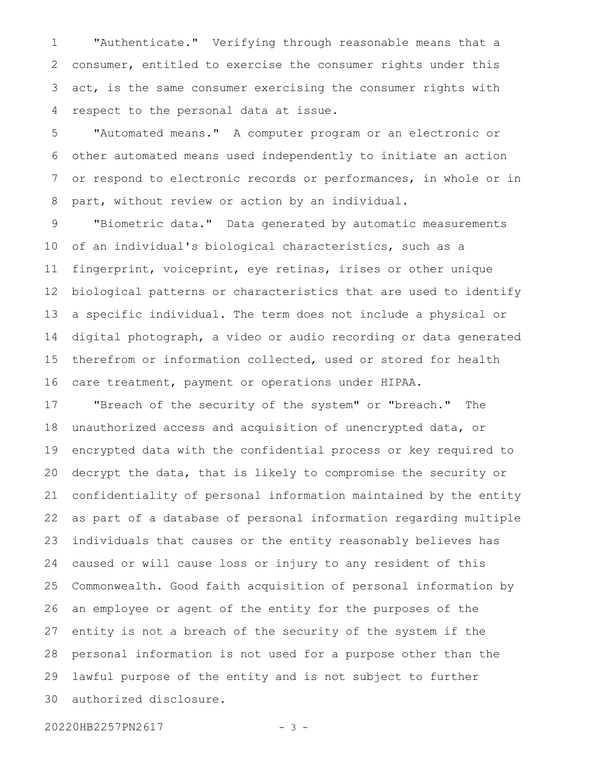"Authenticate." Verifying through reasonable means that a consumer, entitled to exercise the consumer rights under this act, is the same consumer exercising the consumer rights with respect to the personal data at issue. 1 2 3 4

"Automated means." A computer program or an electronic or other automated means used independently to initiate an action or respond to electronic records or performances, in whole or in part, without review or action by an individual. 5 6 7 8

"Biometric data." Data generated by automatic measurements of an individual's biological characteristics, such as a fingerprint, voiceprint, eye retinas, irises or other unique biological patterns or characteristics that are used to identify a specific individual. The term does not include a physical or digital photograph, a video or audio recording or data generated therefrom or information collected, used or stored for health care treatment, payment or operations under HIPAA. 9 10 11 12 13 14 15 16

"Breach of the security of the system" or "breach." The unauthorized access and acquisition of unencrypted data, or encrypted data with the confidential process or key required to decrypt the data, that is likely to compromise the security or confidentiality of personal information maintained by the entity as part of a database of personal information regarding multiple individuals that causes or the entity reasonably believes has caused or will cause loss or injury to any resident of this Commonwealth. Good faith acquisition of personal information by an employee or agent of the entity for the purposes of the entity is not a breach of the security of the system if the personal information is not used for a purpose other than the lawful purpose of the entity and is not subject to further authorized disclosure. 17 18 19 20 21 22 23 24 25 26 27 28 29 30

20220HB2257PN2617 - 3 -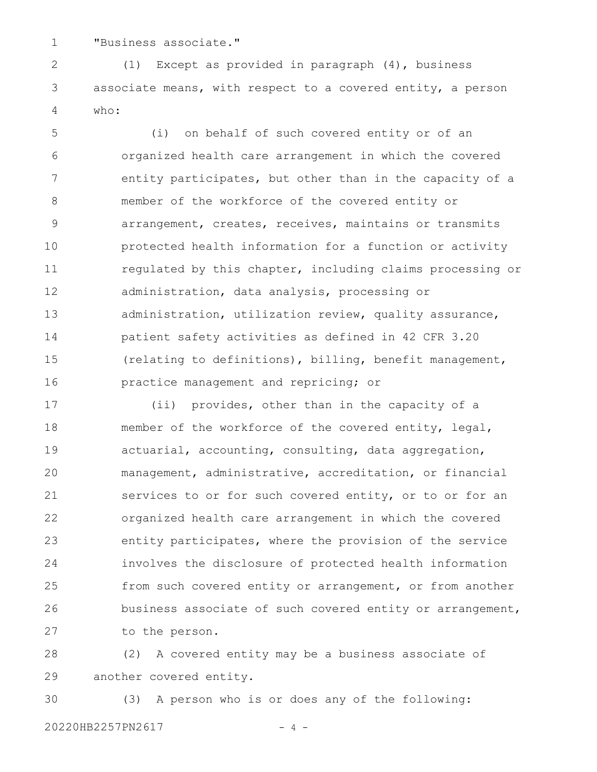1

#### "Business associate."

(1) Except as provided in paragraph (4), business associate means, with respect to a covered entity, a person who: 2 3 4

(i) on behalf of such covered entity or of an organized health care arrangement in which the covered entity participates, but other than in the capacity of a member of the workforce of the covered entity or arrangement, creates, receives, maintains or transmits protected health information for a function or activity regulated by this chapter, including claims processing or administration, data analysis, processing or administration, utilization review, quality assurance, patient safety activities as defined in 42 CFR 3.20 (relating to definitions), billing, benefit management, practice management and repricing; or 5 6 7 8 9 10 11 12 13 14 15 16

(ii) provides, other than in the capacity of a member of the workforce of the covered entity, legal, actuarial, accounting, consulting, data aggregation, management, administrative, accreditation, or financial services to or for such covered entity, or to or for an organized health care arrangement in which the covered entity participates, where the provision of the service involves the disclosure of protected health information from such covered entity or arrangement, or from another business associate of such covered entity or arrangement, to the person. 17 18 19 20 21 22 23 24 25 26 27

(2) A covered entity may be a business associate of another covered entity. 28 29

(3) A person who is or does any of the following: 20220HB2257PN2617 - 4 -30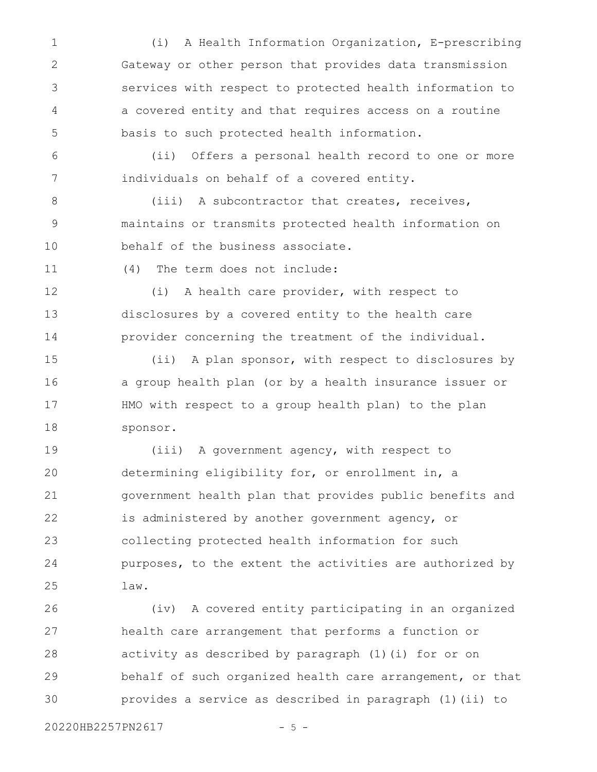(i) A Health Information Organization, E-prescribing Gateway or other person that provides data transmission services with respect to protected health information to a covered entity and that requires access on a routine basis to such protected health information. 1 2 3 4 5

(ii) Offers a personal health record to one or more individuals on behalf of a covered entity. 6 7

(iii) A subcontractor that creates, receives, maintains or transmits protected health information on behalf of the business associate. 8 9 10

11

12

13

14

(i) A health care provider, with respect to disclosures by a covered entity to the health care

(4) The term does not include:

(ii) A plan sponsor, with respect to disclosures by a group health plan (or by a health insurance issuer or HMO with respect to a group health plan) to the plan sponsor. 15 16 17 18

provider concerning the treatment of the individual.

(iii) A government agency, with respect to determining eligibility for, or enrollment in, a government health plan that provides public benefits and is administered by another government agency, or collecting protected health information for such purposes, to the extent the activities are authorized by law. 19 20 21 22 23 24 25

(iv) A covered entity participating in an organized health care arrangement that performs a function or activity as described by paragraph (1)(i) for or on behalf of such organized health care arrangement, or that provides a service as described in paragraph (1)(ii) to 26 27 28 29 30

20220HB2257PN2617 - 5 -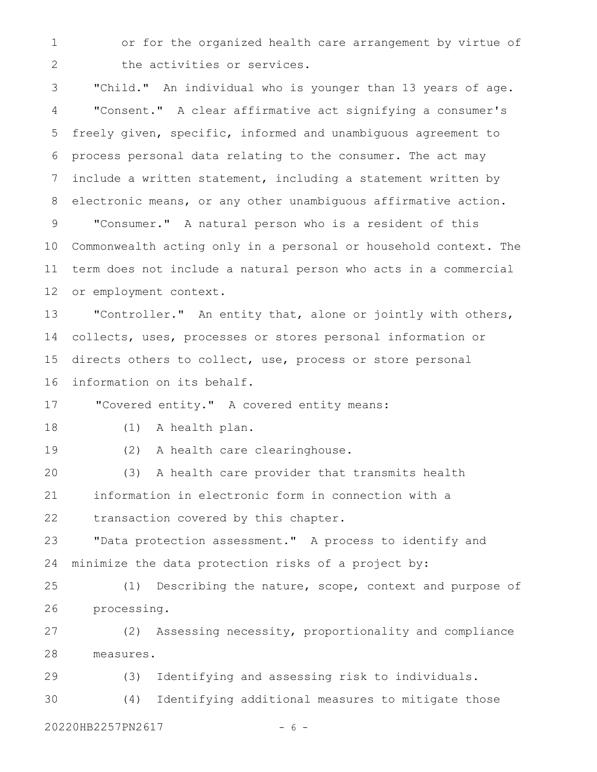or for the organized health care arrangement by virtue of the activities or services. 1 2

"Child." An individual who is younger than 13 years of age. "Consent." A clear affirmative act signifying a consumer's freely given, specific, informed and unambiguous agreement to process personal data relating to the consumer. The act may include a written statement, including a statement written by electronic means, or any other unambiguous affirmative action. "Consumer." A natural person who is a resident of this Commonwealth acting only in a personal or household context. The term does not include a natural person who acts in a commercial or employment context. 3 4 5 6 7 8 9 10 11 12

"Controller." An entity that, alone or jointly with others, collects, uses, processes or stores personal information or directs others to collect, use, process or store personal information on its behalf. 13 14 15 16

"Covered entity." A covered entity means: 17

(1) A health plan. 18

19

(2) A health care clearinghouse.

(3) A health care provider that transmits health information in electronic form in connection with a transaction covered by this chapter. 20 21 22

"Data protection assessment." A process to identify and minimize the data protection risks of a project by: 23 24

(1) Describing the nature, scope, context and purpose of processing. 25 26

(2) Assessing necessity, proportionality and compliance measures. 27 28

(3) Identifying and assessing risk to individuals. (4) Identifying additional measures to mitigate those 29 30

20220HB2257PN2617 - 6 -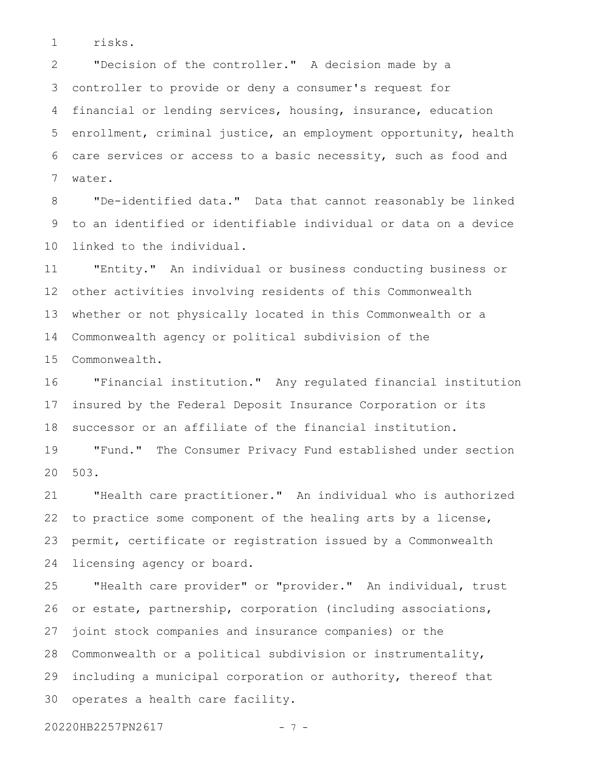risks. 1

"Decision of the controller." A decision made by a controller to provide or deny a consumer's request for financial or lending services, housing, insurance, education enrollment, criminal justice, an employment opportunity, health care services or access to a basic necessity, such as food and water. 2 3 4 5 6 7

"De-identified data." Data that cannot reasonably be linked to an identified or identifiable individual or data on a device linked to the individual. 8 9 10

"Entity." An individual or business conducting business or other activities involving residents of this Commonwealth whether or not physically located in this Commonwealth or a Commonwealth agency or political subdivision of the Commonwealth. 11 12 13 14 15

"Financial institution." Any regulated financial institution insured by the Federal Deposit Insurance Corporation or its successor or an affiliate of the financial institution. 16 17 18

"Fund." The Consumer Privacy Fund established under section 503. 19 20

"Health care practitioner." An individual who is authorized to practice some component of the healing arts by a license, permit, certificate or registration issued by a Commonwealth licensing agency or board. 21 22 23 24

"Health care provider" or "provider." An individual, trust or estate, partnership, corporation (including associations, joint stock companies and insurance companies) or the Commonwealth or a political subdivision or instrumentality, including a municipal corporation or authority, thereof that operates a health care facility. 25 26 27 28 29 30

20220HB2257PN2617 - 7 -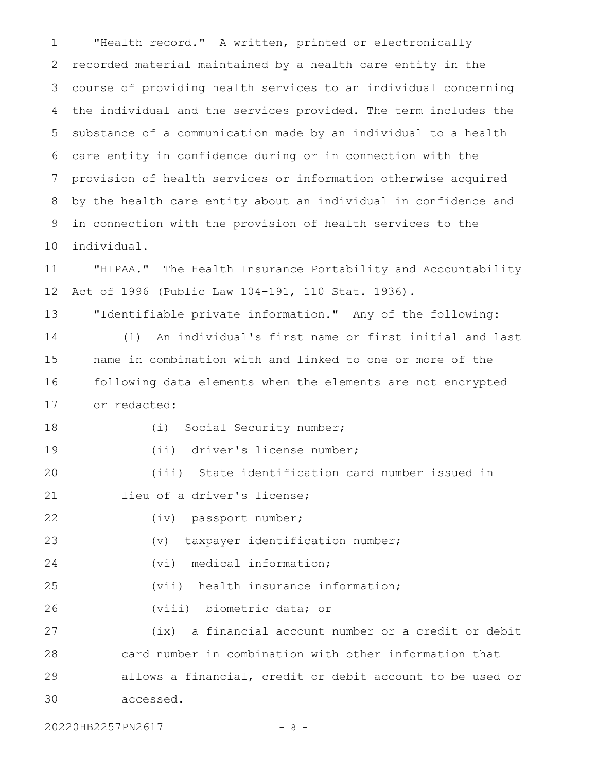"Health record." A written, printed or electronically recorded material maintained by a health care entity in the course of providing health services to an individual concerning the individual and the services provided. The term includes the substance of a communication made by an individual to a health care entity in confidence during or in connection with the provision of health services or information otherwise acquired by the health care entity about an individual in confidence and in connection with the provision of health services to the individual. "HIPAA." The Health Insurance Portability and Accountability Act of 1996 (Public Law 104-191, 110 Stat. 1936). "Identifiable private information." Any of the following: (1) An individual's first name or first initial and last name in combination with and linked to one or more of the following data elements when the elements are not encrypted 1 2 3 4 5 6 7 8 9 10 11 12 13 14 15 16

or redacted: 17

(i) Social Security number; (ii) driver's license number; (iii) State identification card number issued in lieu of a driver's license; (iv) passport number; (v) taxpayer identification number; (vi) medical information; (vii) health insurance information; (viii) biometric data; or (ix) a financial account number or a credit or debit card number in combination with other information that allows a financial, credit or debit account to be used or accessed. 18 19 20 21 22 23 24 25 26 27 28 29 30

20220HB2257PN2617 - 8 -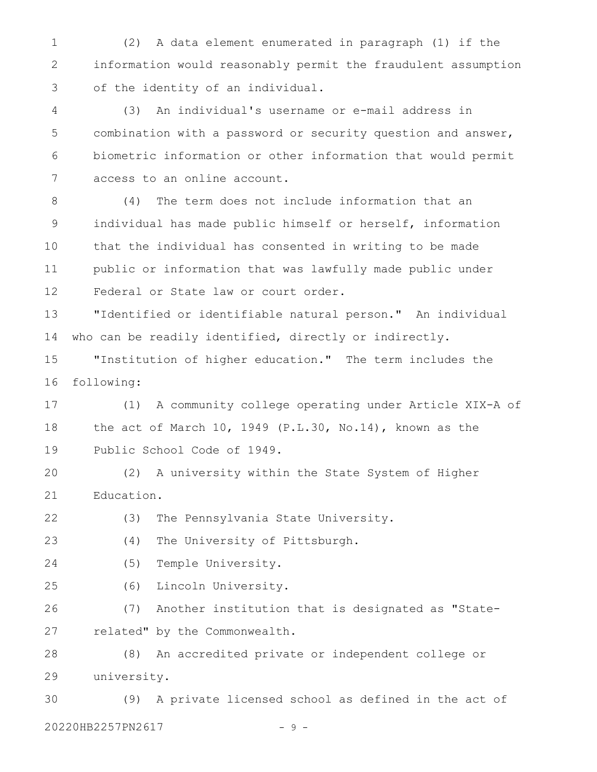(2) A data element enumerated in paragraph (1) if the information would reasonably permit the fraudulent assumption of the identity of an individual. 1 2 3

(3) An individual's username or e-mail address in combination with a password or security question and answer, biometric information or other information that would permit access to an online account. 4 5 6 7

(4) The term does not include information that an individual has made public himself or herself, information that the individual has consented in writing to be made public or information that was lawfully made public under Federal or State law or court order. 8 9 10 11 12

"Identified or identifiable natural person." An individual who can be readily identified, directly or indirectly. 13 14

"Institution of higher education." The term includes the following: 15 16

(1) A community college operating under Article XIX-A of the act of March 10, 1949 (P.L.30, No.14), known as the Public School Code of 1949. 17 18 19

(2) A university within the State System of Higher Education. 20 21

(3) The Pennsylvania State University. 22

(4) The University of Pittsburgh. 23

(5) Temple University. 24

(6) Lincoln University. 25

(7) Another institution that is designated as "Staterelated" by the Commonwealth. 26 27

(8) An accredited private or independent college or university. 28 29

(9) A private licensed school as defined in the act of 20220HB2257PN2617 - 9 -30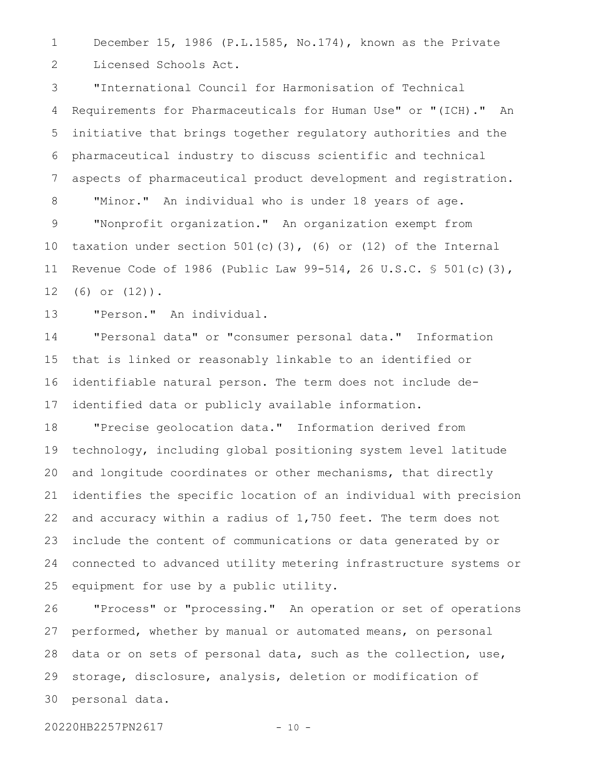December 15, 1986 (P.L.1585, No.174), known as the Private Licensed Schools Act. 1 2

"International Council for Harmonisation of Technical Requirements for Pharmaceuticals for Human Use" or "(ICH)." An initiative that brings together regulatory authorities and the pharmaceutical industry to discuss scientific and technical aspects of pharmaceutical product development and registration. "Minor." An individual who is under 18 years of age. "Nonprofit organization." An organization exempt from taxation under section  $501(c)(3)$ , (6) or (12) of the Internal Revenue Code of 1986 (Public Law 99-514, 26 U.S.C. § 501(c)(3), (6) or (12)). 3 4 5 6 7 8 9 10 11 12

"Person." An individual. 13

"Personal data" or "consumer personal data." Information that is linked or reasonably linkable to an identified or identifiable natural person. The term does not include deidentified data or publicly available information. 14 15 16 17

"Precise geolocation data." Information derived from technology, including global positioning system level latitude and longitude coordinates or other mechanisms, that directly identifies the specific location of an individual with precision and accuracy within a radius of 1,750 feet. The term does not include the content of communications or data generated by or connected to advanced utility metering infrastructure systems or equipment for use by a public utility. 18 19 20 21 22 23 24 25

"Process" or "processing." An operation or set of operations performed, whether by manual or automated means, on personal data or on sets of personal data, such as the collection, use, storage, disclosure, analysis, deletion or modification of personal data. 26 27 28 29 30

20220HB2257PN2617 - 10 -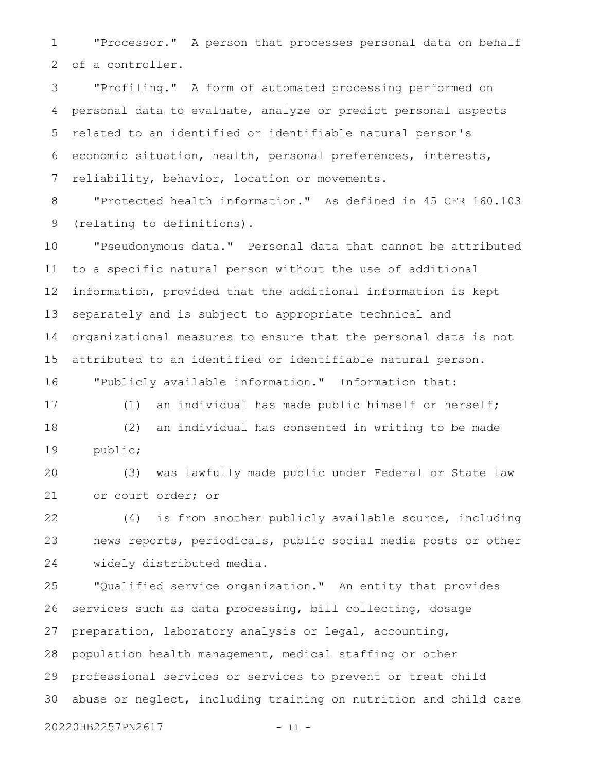"Processor." A person that processes personal data on behalf of a controller. 1 2

"Profiling." A form of automated processing performed on personal data to evaluate, analyze or predict personal aspects related to an identified or identifiable natural person's economic situation, health, personal preferences, interests, reliability, behavior, location or movements. 3 4 5 6 7

"Protected health information." As defined in 45 CFR 160.103 (relating to definitions). 8 9

"Pseudonymous data." Personal data that cannot be attributed to a specific natural person without the use of additional information, provided that the additional information is kept separately and is subject to appropriate technical and organizational measures to ensure that the personal data is not attributed to an identified or identifiable natural person. "Publicly available information." Information that: 10 11 12 13 14 15 16

(1) an individual has made public himself or herself; (2) an individual has consented in writing to be made public; 17 18 19

(3) was lawfully made public under Federal or State law or court order; or 20 21

(4) is from another publicly available source, including news reports, periodicals, public social media posts or other widely distributed media. 22 23 24

"Qualified service organization." An entity that provides services such as data processing, bill collecting, dosage preparation, laboratory analysis or legal, accounting, population health management, medical staffing or other professional services or services to prevent or treat child abuse or neglect, including training on nutrition and child care 20220HB2257PN2617 - 11 -25 26 27 28 29 30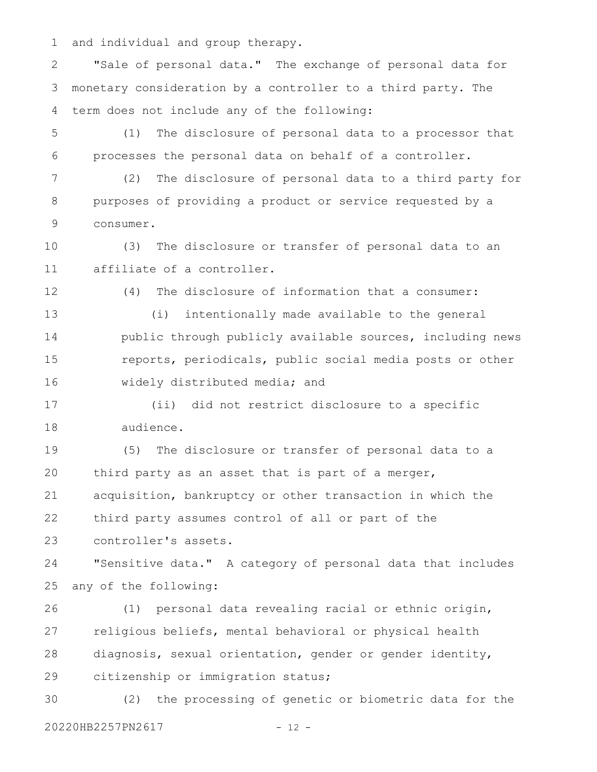and individual and group therapy. 1

"Sale of personal data." The exchange of personal data for monetary consideration by a controller to a third party. The term does not include any of the following: 2 3 4

(1) The disclosure of personal data to a processor that processes the personal data on behalf of a controller. 5 6

(2) The disclosure of personal data to a third party for purposes of providing a product or service requested by a consumer. 7 8 9

(3) The disclosure or transfer of personal data to an affiliate of a controller. 10 11

12

(4) The disclosure of information that a consumer:

(i) intentionally made available to the general public through publicly available sources, including news reports, periodicals, public social media posts or other widely distributed media; and 13 14 15 16

(ii) did not restrict disclosure to a specific audience. 17 18

(5) The disclosure or transfer of personal data to a third party as an asset that is part of a merger, acquisition, bankruptcy or other transaction in which the third party assumes control of all or part of the controller's assets. 19 20 21 22 23

"Sensitive data." A category of personal data that includes any of the following: 24 25

(1) personal data revealing racial or ethnic origin, religious beliefs, mental behavioral or physical health diagnosis, sexual orientation, gender or gender identity, citizenship or immigration status; 26 27 28 29

(2) the processing of genetic or biometric data for the 20220HB2257PN2617 - 12 -30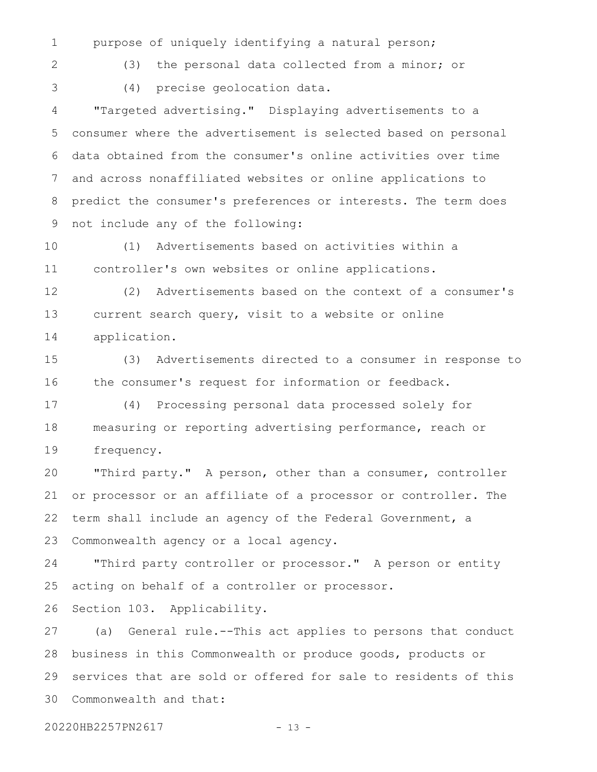purpose of uniquely identifying a natural person; 1

2

3

(3) the personal data collected from a minor; or

(4) precise geolocation data.

"Targeted advertising." Displaying advertisements to a consumer where the advertisement is selected based on personal data obtained from the consumer's online activities over time and across nonaffiliated websites or online applications to predict the consumer's preferences or interests. The term does not include any of the following: 4 5 6 7 8 9

(1) Advertisements based on activities within a controller's own websites or online applications. 10 11

(2) Advertisements based on the context of a consumer's current search query, visit to a website or online application. 12 13 14

(3) Advertisements directed to a consumer in response to the consumer's request for information or feedback. 15 16

(4) Processing personal data processed solely for measuring or reporting advertising performance, reach or frequency. 17 18 19

"Third party." A person, other than a consumer, controller or processor or an affiliate of a processor or controller. The term shall include an agency of the Federal Government, a Commonwealth agency or a local agency. 20 21 22 23

"Third party controller or processor." A person or entity acting on behalf of a controller or processor. 24 25

Section 103. Applicability. 26

(a) General rule.--This act applies to persons that conduct business in this Commonwealth or produce goods, products or services that are sold or offered for sale to residents of this 30 Commonwealth and that: 27 28 29

20220HB2257PN2617 - 13 -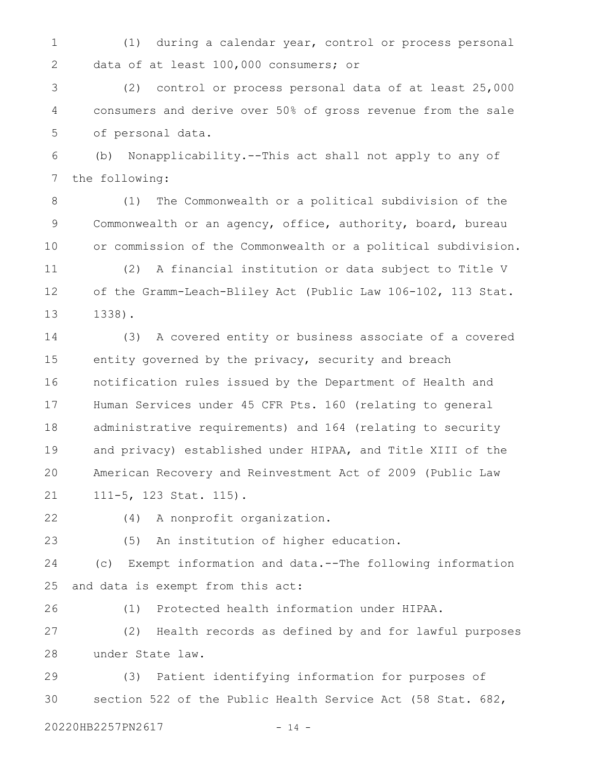(1) during a calendar year, control or process personal data of at least 100,000 consumers; or 1 2

(2) control or process personal data of at least 25,000 consumers and derive over 50% of gross revenue from the sale of personal data. 3 4 5

(b) Nonapplicability.--This act shall not apply to any of the following: 6 7

(1) The Commonwealth or a political subdivision of the Commonwealth or an agency, office, authority, board, bureau or commission of the Commonwealth or a political subdivision. 8 9 10

(2) A financial institution or data subject to Title V of the Gramm-Leach-Bliley Act (Public Law 106-102, 113 Stat. 1338). 11 12 13

(3) A covered entity or business associate of a covered entity governed by the privacy, security and breach notification rules issued by the Department of Health and Human Services under 45 CFR Pts. 160 (relating to general administrative requirements) and 164 (relating to security and privacy) established under HIPAA, and Title XIII of the American Recovery and Reinvestment Act of 2009 (Public Law 111-5, 123 Stat. 115). 14 15 16 17 18 19 20 21

22

23

(4) A nonprofit organization.

(5) An institution of higher education.

(c) Exempt information and data.--The following information and data is exempt from this act: 24 25

(1) Protected health information under HIPAA. 26

(2) Health records as defined by and for lawful purposes under State law. 27 28

(3) Patient identifying information for purposes of section 522 of the Public Health Service Act (58 Stat. 682, 29 30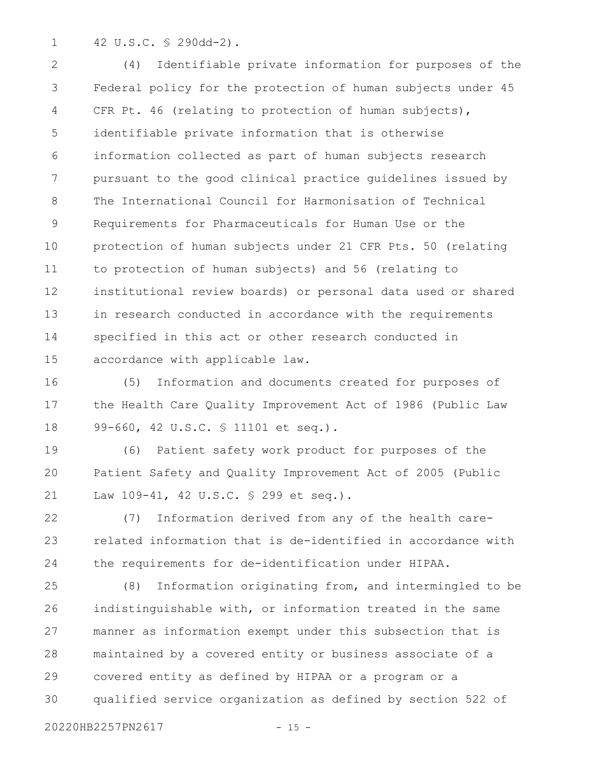42 U.S.C. § 290dd-2). 1

(4) Identifiable private information for purposes of the Federal policy for the protection of human subjects under 45 CFR Pt. 46 (relating to protection of human subjects), identifiable private information that is otherwise information collected as part of human subjects research pursuant to the good clinical practice guidelines issued by The International Council for Harmonisation of Technical Requirements for Pharmaceuticals for Human Use or the protection of human subjects under 21 CFR Pts. 50 (relating to protection of human subjects) and 56 (relating to institutional review boards) or personal data used or shared in research conducted in accordance with the requirements specified in this act or other research conducted in accordance with applicable law. 2 3 4 5 6 7 8 9 10 11 12 13 14 15

(5) Information and documents created for purposes of the Health Care Quality Improvement Act of 1986 (Public Law 99-660, 42 U.S.C. § 11101 et seq.). 16 17 18

(6) Patient safety work product for purposes of the Patient Safety and Quality Improvement Act of 2005 (Public Law 109-41, 42 U.S.C. § 299 et seq.). 19 20 21

(7) Information derived from any of the health carerelated information that is de-identified in accordance with the requirements for de-identification under HIPAA. 22 23 24

(8) Information originating from, and intermingled to be indistinguishable with, or information treated in the same manner as information exempt under this subsection that is maintained by a covered entity or business associate of a covered entity as defined by HIPAA or a program or a qualified service organization as defined by section 522 of 25 26 27 28 29 30

20220HB2257PN2617 - 15 -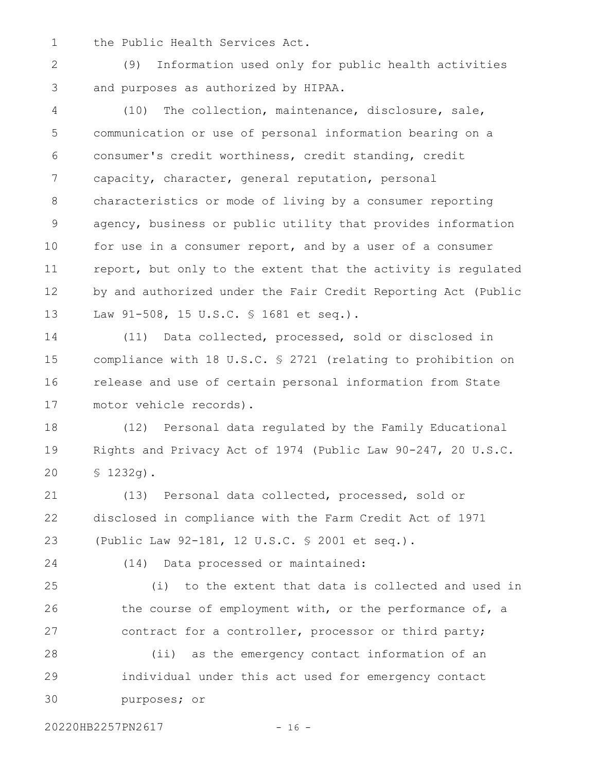the Public Health Services Act. 1

(9) Information used only for public health activities and purposes as authorized by HIPAA. 2 3

(10) The collection, maintenance, disclosure, sale, communication or use of personal information bearing on a consumer's credit worthiness, credit standing, credit capacity, character, general reputation, personal characteristics or mode of living by a consumer reporting agency, business or public utility that provides information for use in a consumer report, and by a user of a consumer report, but only to the extent that the activity is regulated by and authorized under the Fair Credit Reporting Act (Public Law 91-508, 15 U.S.C. § 1681 et seq.). 4 5 6 7 8 9 10 11 12 13

(11) Data collected, processed, sold or disclosed in compliance with 18 U.S.C. § 2721 (relating to prohibition on release and use of certain personal information from State motor vehicle records). 14 15 16 17

(12) Personal data regulated by the Family Educational Rights and Privacy Act of 1974 (Public Law 90-247, 20 U.S.C.  $$1232q$ . 18 19 20

(13) Personal data collected, processed, sold or disclosed in compliance with the Farm Credit Act of 1971 (Public Law 92-181, 12 U.S.C. § 2001 et seq.). 21 22 23

24

(14) Data processed or maintained:

(i) to the extent that data is collected and used in the course of employment with, or the performance of, a contract for a controller, processor or third party; 25 26 27

(ii) as the emergency contact information of an individual under this act used for emergency contact purposes; or 28 29 30

20220HB2257PN2617 - 16 -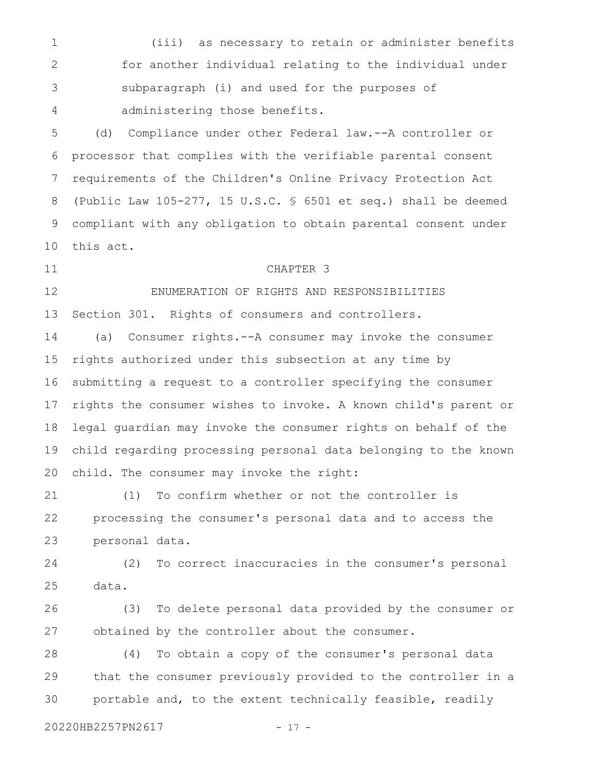(iii) as necessary to retain or administer benefits for another individual relating to the individual under subparagraph (i) and used for the purposes of administering those benefits. 1 2 3 4

(d) Compliance under other Federal law.--A controller or processor that complies with the verifiable parental consent requirements of the Children's Online Privacy Protection Act (Public Law 105-277, 15 U.S.C. § 6501 et seq.) shall be deemed compliant with any obligation to obtain parental consent under this act. 5 6 7 8 9 10

11

12

#### CHAPTER 3

ENUMERATION OF RIGHTS AND RESPONSIBILITIES

Section 301. Rights of consumers and controllers. 13

(a) Consumer rights.--A consumer may invoke the consumer rights authorized under this subsection at any time by submitting a request to a controller specifying the consumer rights the consumer wishes to invoke. A known child's parent or legal guardian may invoke the consumer rights on behalf of the child regarding processing personal data belonging to the known child. The consumer may invoke the right: 14 15 16 17 18 19 20

(1) To confirm whether or not the controller is processing the consumer's personal data and to access the personal data. 21 22 23

(2) To correct inaccuracies in the consumer's personal data. 24 25

(3) To delete personal data provided by the consumer or obtained by the controller about the consumer. 26 27

(4) To obtain a copy of the consumer's personal data that the consumer previously provided to the controller in a portable and, to the extent technically feasible, readily 28 29 30

20220HB2257PN2617 - 17 -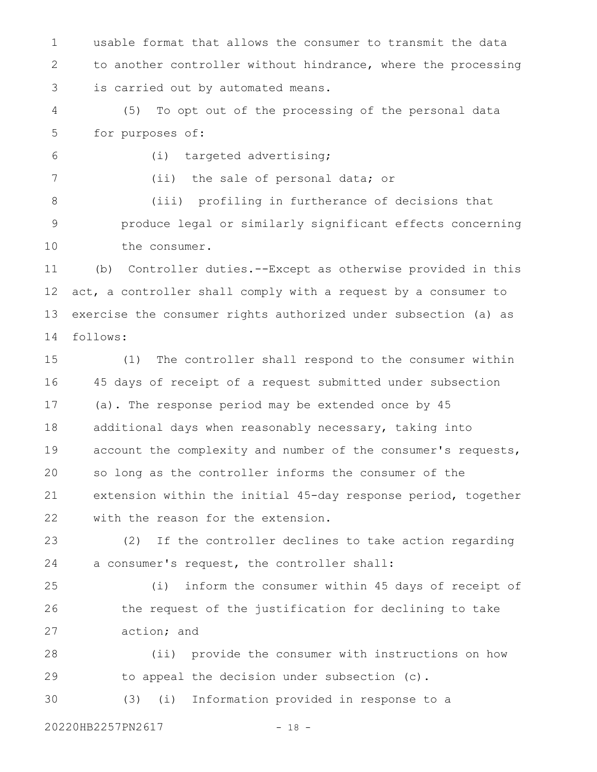usable format that allows the consumer to transmit the data to another controller without hindrance, where the processing is carried out by automated means. 1 2 3

(5) To opt out of the processing of the personal data for purposes of: 4 5

6

7

(i) targeted advertising;

(ii) the sale of personal data; or

(iii) profiling in furtherance of decisions that produce legal or similarly significant effects concerning the consumer. 8 9 10

(b) Controller duties.--Except as otherwise provided in this act, a controller shall comply with a request by a consumer to exercise the consumer rights authorized under subsection (a) as follows: 11 12 13 14

(1) The controller shall respond to the consumer within 45 days of receipt of a request submitted under subsection (a). The response period may be extended once by 45 additional days when reasonably necessary, taking into account the complexity and number of the consumer's requests, so long as the controller informs the consumer of the extension within the initial 45-day response period, together with the reason for the extension. 15 16 17 18 19 20 21 22

(2) If the controller declines to take action regarding a consumer's request, the controller shall: 23 24

25

26

27

(i) inform the consumer within 45 days of receipt of the request of the justification for declining to take action; and

(ii) provide the consumer with instructions on how to appeal the decision under subsection (c). 28 29

(3) (i) Information provided in response to a 30

20220HB2257PN2617 - 18 -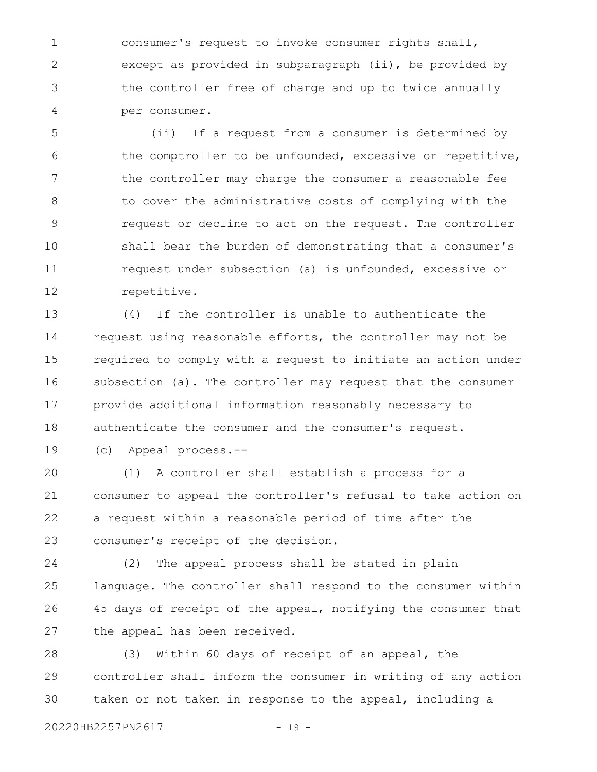consumer's request to invoke consumer rights shall, except as provided in subparagraph (ii), be provided by the controller free of charge and up to twice annually per consumer. 1 2 3 4

(ii) If a request from a consumer is determined by the comptroller to be unfounded, excessive or repetitive, the controller may charge the consumer a reasonable fee to cover the administrative costs of complying with the request or decline to act on the request. The controller shall bear the burden of demonstrating that a consumer's request under subsection (a) is unfounded, excessive or repetitive. 5 6 7 8 9 10 11 12

(4) If the controller is unable to authenticate the request using reasonable efforts, the controller may not be required to comply with a request to initiate an action under subsection (a). The controller may request that the consumer provide additional information reasonably necessary to authenticate the consumer and the consumer's request. 13 14 15 16 17 18

(c) Appeal process.-- 19

(1) A controller shall establish a process for a consumer to appeal the controller's refusal to take action on a request within a reasonable period of time after the consumer's receipt of the decision. 20 21 22 23

(2) The appeal process shall be stated in plain language. The controller shall respond to the consumer within 45 days of receipt of the appeal, notifying the consumer that the appeal has been received. 24 25 26 27

(3) Within 60 days of receipt of an appeal, the controller shall inform the consumer in writing of any action taken or not taken in response to the appeal, including a 28 29 30

20220HB2257PN2617 - 19 -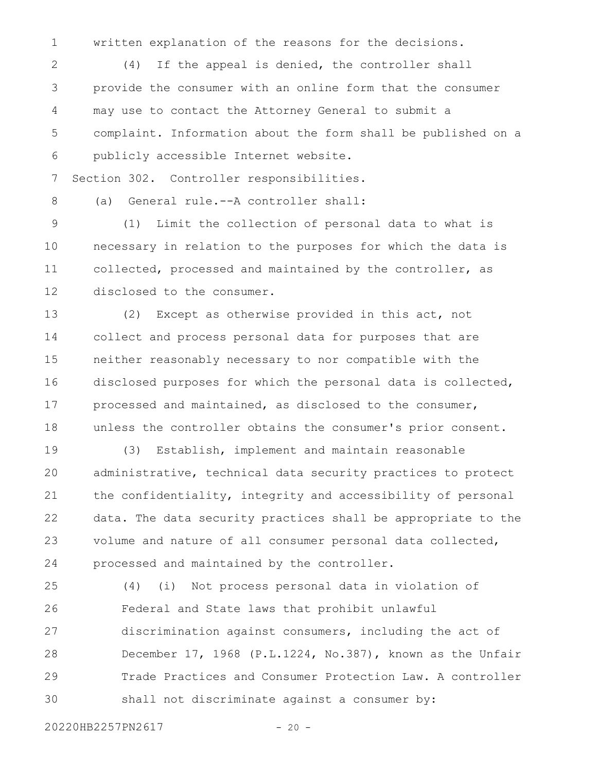written explanation of the reasons for the decisions. 1

(4) If the appeal is denied, the controller shall provide the consumer with an online form that the consumer may use to contact the Attorney General to submit a complaint. Information about the form shall be published on a publicly accessible Internet website. 2 3 4 5 6

Section 302. Controller responsibilities. 7

(a) General rule.--A controller shall: 8

(1) Limit the collection of personal data to what is necessary in relation to the purposes for which the data is collected, processed and maintained by the controller, as disclosed to the consumer. 9 10 11 12

(2) Except as otherwise provided in this act, not collect and process personal data for purposes that are neither reasonably necessary to nor compatible with the disclosed purposes for which the personal data is collected, processed and maintained, as disclosed to the consumer, unless the controller obtains the consumer's prior consent. 13 14 15 16 17 18

(3) Establish, implement and maintain reasonable administrative, technical data security practices to protect the confidentiality, integrity and accessibility of personal data. The data security practices shall be appropriate to the volume and nature of all consumer personal data collected, processed and maintained by the controller. 19 20 21 22 23 24

(4) (i) Not process personal data in violation of Federal and State laws that prohibit unlawful discrimination against consumers, including the act of December 17, 1968 (P.L.1224, No.387), known as the Unfair Trade Practices and Consumer Protection Law. A controller shall not discriminate against a consumer by: 25 26 27 28 29 30

20220HB2257PN2617 - 20 -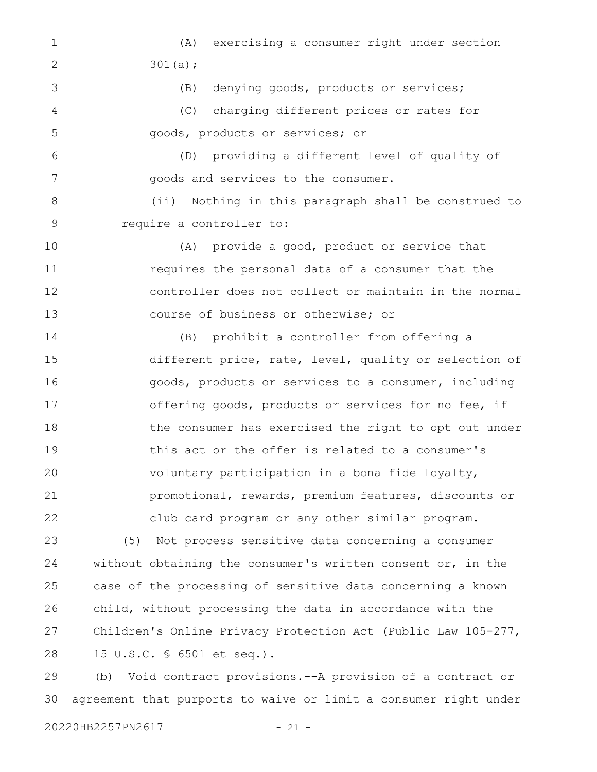(A) exercising a consumer right under section 301(a); 1 2

(B) denying goods, products or services;

(C) charging different prices or rates for goods, products or services; or 4 5

(D) providing a different level of quality of goods and services to the consumer. 6 7

(ii) Nothing in this paragraph shall be construed to require a controller to: 8 9

(A) provide a good, product or service that requires the personal data of a consumer that the controller does not collect or maintain in the normal course of business or otherwise; or 10 11 12 13

(B) prohibit a controller from offering a different price, rate, level, quality or selection of goods, products or services to a consumer, including offering goods, products or services for no fee, if the consumer has exercised the right to opt out under this act or the offer is related to a consumer's voluntary participation in a bona fide loyalty, promotional, rewards, premium features, discounts or club card program or any other similar program. 14 15 16 17 18 19 20 21 22

(5) Not process sensitive data concerning a consumer without obtaining the consumer's written consent or, in the case of the processing of sensitive data concerning a known child, without processing the data in accordance with the Children's Online Privacy Protection Act (Public Law 105-277, 15 U.S.C. § 6501 et seq.). 23 24 25 26 27 28

(b) Void contract provisions.--A provision of a contract or agreement that purports to waive or limit a consumer right under 29 30

3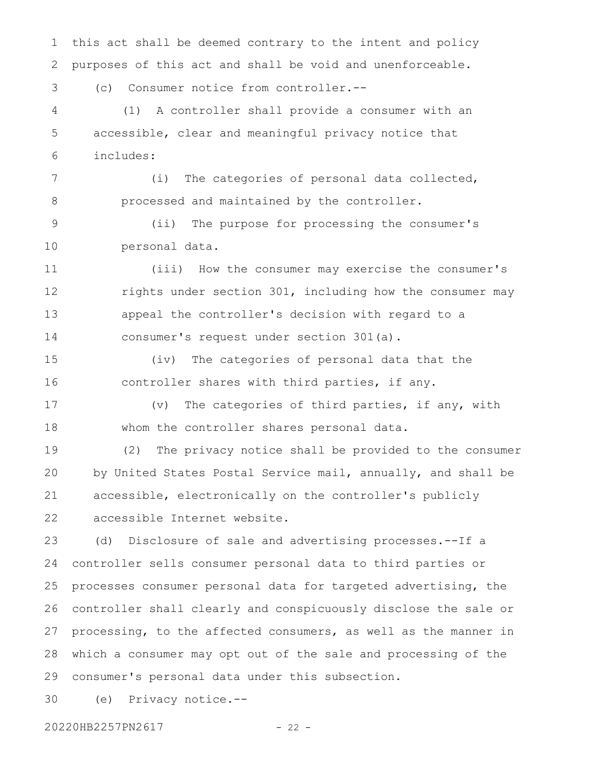this act shall be deemed contrary to the intent and policy purposes of this act and shall be void and unenforceable. (c) Consumer notice from controller.-- (1) A controller shall provide a consumer with an accessible, clear and meaningful privacy notice that includes: (i) The categories of personal data collected, processed and maintained by the controller. (ii) The purpose for processing the consumer's personal data. (iii) How the consumer may exercise the consumer's rights under section 301, including how the consumer may appeal the controller's decision with regard to a consumer's request under section 301(a). (iv) The categories of personal data that the controller shares with third parties, if any. (v) The categories of third parties, if any, with whom the controller shares personal data. (2) The privacy notice shall be provided to the consumer by United States Postal Service mail, annually, and shall be accessible, electronically on the controller's publicly accessible Internet website. (d) Disclosure of sale and advertising processes.--If a controller sells consumer personal data to third parties or processes consumer personal data for targeted advertising, the controller shall clearly and conspicuously disclose the sale or processing, to the affected consumers, as well as the manner in which a consumer may opt out of the sale and processing of the consumer's personal data under this subsection. (e) Privacy notice.-- 1 2 3 4 5 6 7 8 9 10 11 12 13 14 15 16 17 18 19 20 21 22 23 24 25 26 27 28 29 30

20220HB2257PN2617 - 22 -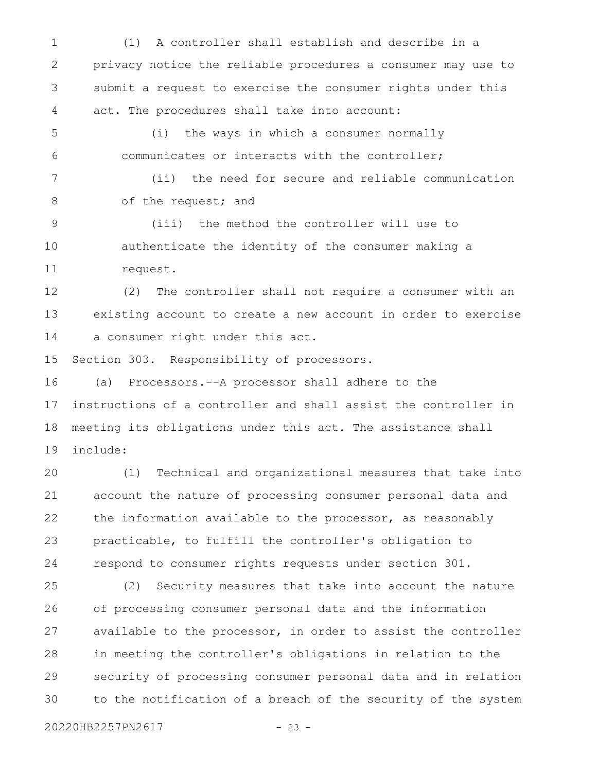(1) A controller shall establish and describe in a privacy notice the reliable procedures a consumer may use to submit a request to exercise the consumer rights under this act. The procedures shall take into account: 1 2 3 4

(i) the ways in which a consumer normally communicates or interacts with the controller; 5 6

(ii) the need for secure and reliable communication of the request; and 7 8

(iii) the method the controller will use to authenticate the identity of the consumer making a request. 9 10 11

(2) The controller shall not require a consumer with an existing account to create a new account in order to exercise a consumer right under this act. 12 13 14

Section 303. Responsibility of processors. 15

(a) Processors.--A processor shall adhere to the instructions of a controller and shall assist the controller in meeting its obligations under this act. The assistance shall include: 16 17 18 19

(1) Technical and organizational measures that take into account the nature of processing consumer personal data and the information available to the processor, as reasonably practicable, to fulfill the controller's obligation to respond to consumer rights requests under section 301. 20 21 22 23 24

(2) Security measures that take into account the nature of processing consumer personal data and the information available to the processor, in order to assist the controller in meeting the controller's obligations in relation to the security of processing consumer personal data and in relation to the notification of a breach of the security of the system 25 26 27 28 29 30

20220HB2257PN2617 - 23 -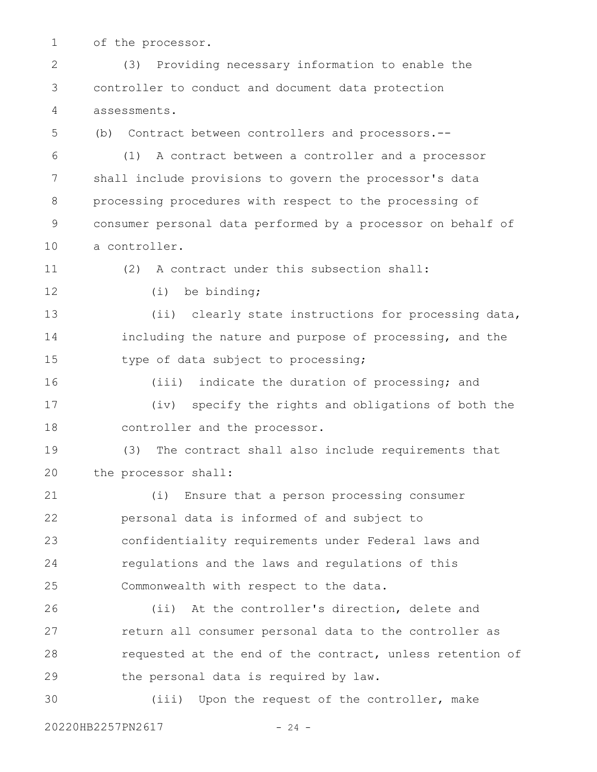of the processor. 1

(3) Providing necessary information to enable the controller to conduct and document data protection assessments. 2 3 4

(b) Contract between controllers and processors.-- 5

(1) A contract between a controller and a processor shall include provisions to govern the processor's data processing procedures with respect to the processing of consumer personal data performed by a processor on behalf of a controller. 6 7 8 9 10

11

(2) A contract under this subsection shall:

12

(i) be binding;

(ii) clearly state instructions for processing data, including the nature and purpose of processing, and the type of data subject to processing; 13 14 15

(iii) indicate the duration of processing; and 16

(iv) specify the rights and obligations of both the controller and the processor. 17 18

(3) The contract shall also include requirements that the processor shall: 19 20

(i) Ensure that a person processing consumer personal data is informed of and subject to confidentiality requirements under Federal laws and regulations and the laws and regulations of this Commonwealth with respect to the data. 21 22 23 24 25

(ii) At the controller's direction, delete and return all consumer personal data to the controller as requested at the end of the contract, unless retention of the personal data is required by law. 26 27 28 29

(iii) Upon the request of the controller, make 30

20220HB2257PN2617 - 24 -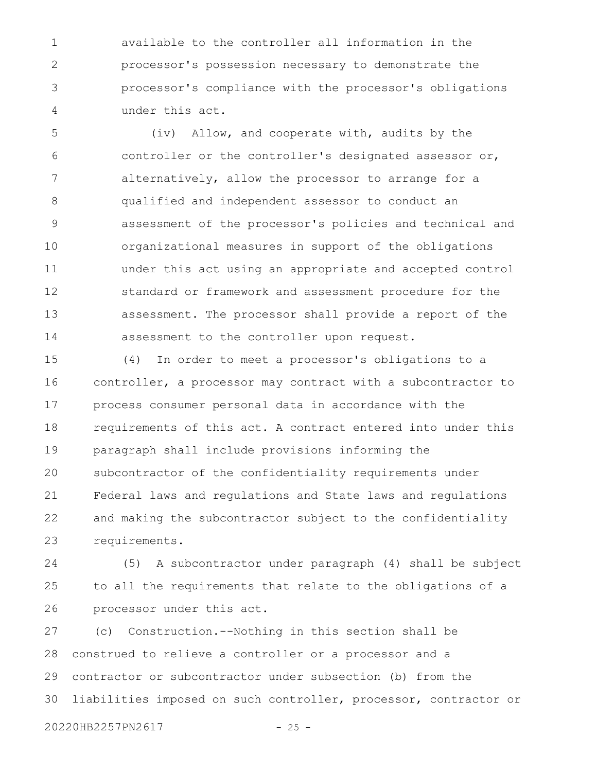available to the controller all information in the processor's possession necessary to demonstrate the processor's compliance with the processor's obligations under this act. 1 2 3 4

(iv) Allow, and cooperate with, audits by the controller or the controller's designated assessor or, alternatively, allow the processor to arrange for a qualified and independent assessor to conduct an assessment of the processor's policies and technical and organizational measures in support of the obligations under this act using an appropriate and accepted control standard or framework and assessment procedure for the assessment. The processor shall provide a report of the assessment to the controller upon request. 5 6 7 8 9 10 11 12 13 14

(4) In order to meet a processor's obligations to a controller, a processor may contract with a subcontractor to process consumer personal data in accordance with the requirements of this act. A contract entered into under this paragraph shall include provisions informing the subcontractor of the confidentiality requirements under Federal laws and regulations and State laws and regulations and making the subcontractor subject to the confidentiality requirements. 15 16 17 18 19 20 21 22 23

(5) A subcontractor under paragraph (4) shall be subject to all the requirements that relate to the obligations of a processor under this act. 24 25 26

(c) Construction.--Nothing in this section shall be construed to relieve a controller or a processor and a contractor or subcontractor under subsection (b) from the liabilities imposed on such controller, processor, contractor or 27 28 29 30

20220HB2257PN2617 - 25 -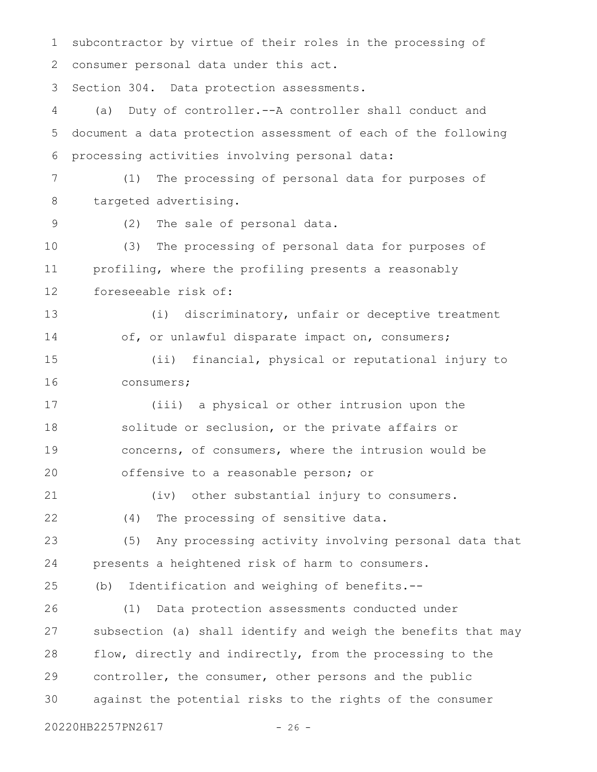subcontractor by virtue of their roles in the processing of consumer personal data under this act. Section 304. Data protection assessments. (a) Duty of controller.--A controller shall conduct and document a data protection assessment of each of the following processing activities involving personal data: (1) The processing of personal data for purposes of targeted advertising. (2) The sale of personal data. (3) The processing of personal data for purposes of profiling, where the profiling presents a reasonably foreseeable risk of: (i) discriminatory, unfair or deceptive treatment of, or unlawful disparate impact on, consumers; (ii) financial, physical or reputational injury to consumers; (iii) a physical or other intrusion upon the solitude or seclusion, or the private affairs or concerns, of consumers, where the intrusion would be offensive to a reasonable person; or (iv) other substantial injury to consumers. (4) The processing of sensitive data. (5) Any processing activity involving personal data that presents a heightened risk of harm to consumers. (b) Identification and weighing of benefits.-- (1) Data protection assessments conducted under subsection (a) shall identify and weigh the benefits that may flow, directly and indirectly, from the processing to the controller, the consumer, other persons and the public against the potential risks to the rights of the consumer 1 2 3 4 5 6 7 8 9 10 11 12 13 14 15 16 17 18 19 20 21 22 23 24 25 26 27 28 29 30

20220HB2257PN2617 - 26 -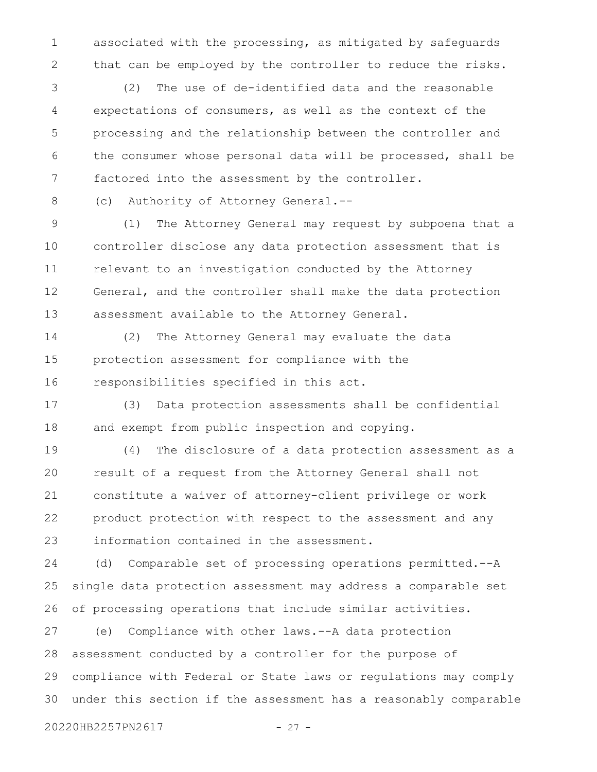associated with the processing, as mitigated by safeguards that can be employed by the controller to reduce the risks. 1 2

(2) The use of de-identified data and the reasonable expectations of consumers, as well as the context of the processing and the relationship between the controller and the consumer whose personal data will be processed, shall be factored into the assessment by the controller. 3 4 5 6 7

(c) Authority of Attorney General.--

8

(1) The Attorney General may request by subpoena that a controller disclose any data protection assessment that is relevant to an investigation conducted by the Attorney General, and the controller shall make the data protection assessment available to the Attorney General. 9 10 11 12 13

(2) The Attorney General may evaluate the data protection assessment for compliance with the responsibilities specified in this act. 14 15 16

(3) Data protection assessments shall be confidential and exempt from public inspection and copying. 17 18

(4) The disclosure of a data protection assessment as a result of a request from the Attorney General shall not constitute a waiver of attorney-client privilege or work product protection with respect to the assessment and any information contained in the assessment. 19 20 21 22 23

(d) Comparable set of processing operations permitted.--A single data protection assessment may address a comparable set of processing operations that include similar activities. 24 25 26

(e) Compliance with other laws.--A data protection assessment conducted by a controller for the purpose of compliance with Federal or State laws or regulations may comply under this section if the assessment has a reasonably comparable 27 28 29 30

20220HB2257PN2617 - 27 -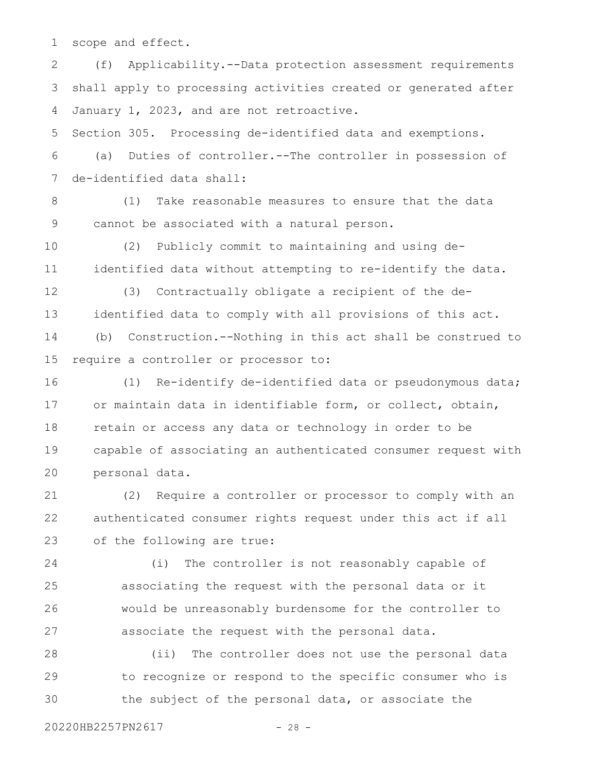scope and effect. 1

(f) Applicability.--Data protection assessment requirements shall apply to processing activities created or generated after January 1, 2023, and are not retroactive. 2 3 4

Section 305. Processing de-identified data and exemptions. 5

(a) Duties of controller.--The controller in possession of de-identified data shall: 6 7

(1) Take reasonable measures to ensure that the data cannot be associated with a natural person. 8 9

(2) Publicly commit to maintaining and using deidentified data without attempting to re-identify the data. 10 11

12

(3) Contractually obligate a recipient of the deidentified data to comply with all provisions of this act. 13

(b) Construction.--Nothing in this act shall be construed to require a controller or processor to: 14 15

(1) Re-identify de-identified data or pseudonymous data; or maintain data in identifiable form, or collect, obtain, retain or access any data or technology in order to be capable of associating an authenticated consumer request with personal data. 16 17 18 19 20

(2) Require a controller or processor to comply with an authenticated consumer rights request under this act if all of the following are true: 21 22 23

(i) The controller is not reasonably capable of associating the request with the personal data or it would be unreasonably burdensome for the controller to associate the request with the personal data. 24 25 26 27

(ii) The controller does not use the personal data to recognize or respond to the specific consumer who is the subject of the personal data, or associate the 28 29 30

20220HB2257PN2617 - 28 -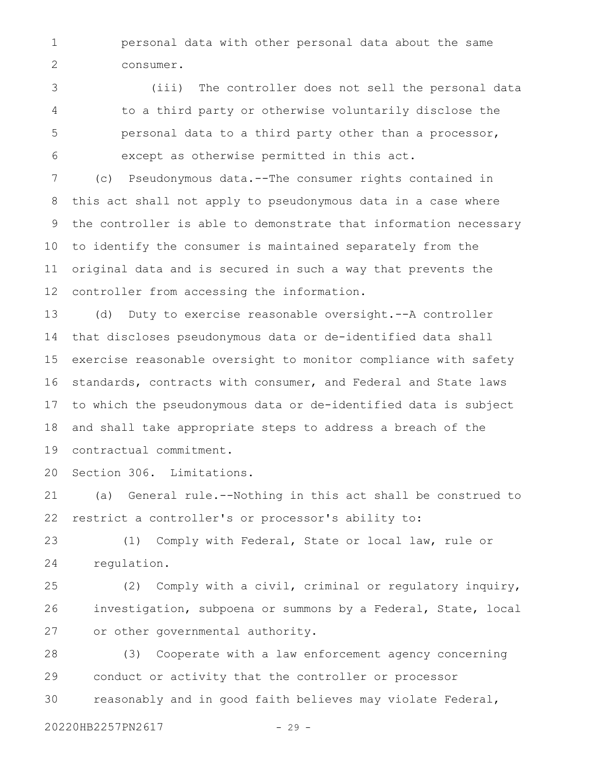personal data with other personal data about the same consumer. 1 2

(iii) The controller does not sell the personal data to a third party or otherwise voluntarily disclose the personal data to a third party other than a processor, except as otherwise permitted in this act. 3 4 5 6

(c) Pseudonymous data.--The consumer rights contained in this act shall not apply to pseudonymous data in a case where the controller is able to demonstrate that information necessary to identify the consumer is maintained separately from the original data and is secured in such a way that prevents the controller from accessing the information. 7 8 9 10 11 12

(d) Duty to exercise reasonable oversight.--A controller that discloses pseudonymous data or de-identified data shall exercise reasonable oversight to monitor compliance with safety standards, contracts with consumer, and Federal and State laws to which the pseudonymous data or de-identified data is subject and shall take appropriate steps to address a breach of the contractual commitment. 13 14 15 16 17 18 19

Section 306. Limitations. 20

(a) General rule.--Nothing in this act shall be construed to restrict a controller's or processor's ability to: 21 22

(1) Comply with Federal, State or local law, rule or regulation. 23 24

(2) Comply with a civil, criminal or regulatory inquiry, investigation, subpoena or summons by a Federal, State, local or other governmental authority. 25 26 27

(3) Cooperate with a law enforcement agency concerning conduct or activity that the controller or processor reasonably and in good faith believes may violate Federal, 28 29 30

20220HB2257PN2617 - 29 -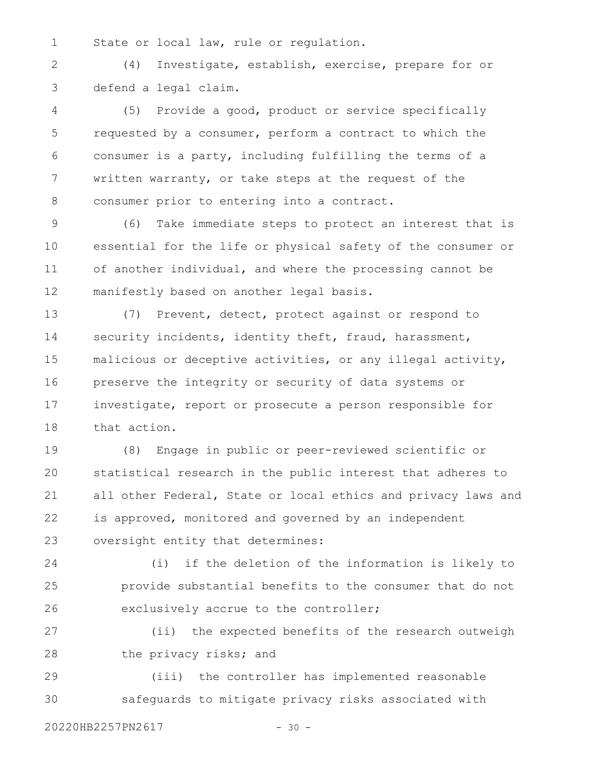State or local law, rule or regulation. 1

(4) Investigate, establish, exercise, prepare for or defend a legal claim. 2 3

(5) Provide a good, product or service specifically requested by a consumer, perform a contract to which the consumer is a party, including fulfilling the terms of a written warranty, or take steps at the request of the consumer prior to entering into a contract. 4 5 6 7 8

(6) Take immediate steps to protect an interest that is essential for the life or physical safety of the consumer or of another individual, and where the processing cannot be manifestly based on another legal basis. 9 10 11 12

(7) Prevent, detect, protect against or respond to security incidents, identity theft, fraud, harassment, malicious or deceptive activities, or any illegal activity, preserve the integrity or security of data systems or investigate, report or prosecute a person responsible for that action. 13 14 15 16 17 18

(8) Engage in public or peer-reviewed scientific or statistical research in the public interest that adheres to all other Federal, State or local ethics and privacy laws and is approved, monitored and governed by an independent oversight entity that determines: 19 20 21 22 23

(i) if the deletion of the information is likely to provide substantial benefits to the consumer that do not exclusively accrue to the controller; 24 25 26

(ii) the expected benefits of the research outweigh the privacy risks; and 27 28

(iii) the controller has implemented reasonable safeguards to mitigate privacy risks associated with 29 30

20220HB2257PN2617 - 30 -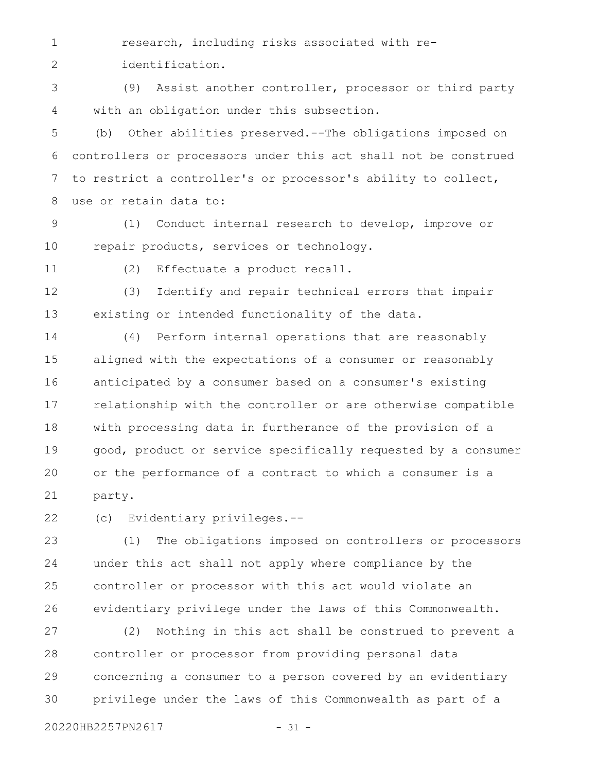research, including risks associated with re-1

identification.

(9) Assist another controller, processor or third party with an obligation under this subsection. 3 4

(b) Other abilities preserved.--The obligations imposed on controllers or processors under this act shall not be construed to restrict a controller's or processor's ability to collect, use or retain data to: 5 6 7 8

(1) Conduct internal research to develop, improve or repair products, services or technology. 9 10

11

2

(2) Effectuate a product recall.

(3) Identify and repair technical errors that impair existing or intended functionality of the data. 12 13

(4) Perform internal operations that are reasonably aligned with the expectations of a consumer or reasonably anticipated by a consumer based on a consumer's existing relationship with the controller or are otherwise compatible with processing data in furtherance of the provision of a good, product or service specifically requested by a consumer or the performance of a contract to which a consumer is a party. 14 15 16 17 18 19 20 21

(c) Evidentiary privileges.-- 22

(1) The obligations imposed on controllers or processors under this act shall not apply where compliance by the controller or processor with this act would violate an evidentiary privilege under the laws of this Commonwealth. 23 24 25 26

(2) Nothing in this act shall be construed to prevent a controller or processor from providing personal data concerning a consumer to a person covered by an evidentiary privilege under the laws of this Commonwealth as part of a 27 28 29 30

20220HB2257PN2617 - 31 -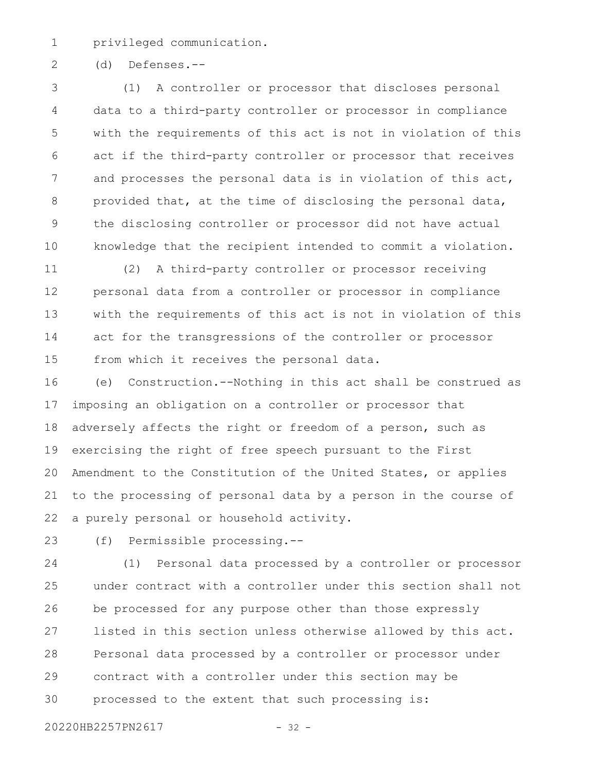privileged communication. 1

(d) Defenses.-- 2

(1) A controller or processor that discloses personal data to a third-party controller or processor in compliance with the requirements of this act is not in violation of this act if the third-party controller or processor that receives and processes the personal data is in violation of this act, provided that, at the time of disclosing the personal data, the disclosing controller or processor did not have actual knowledge that the recipient intended to commit a violation. 3 4 5 6 7 8 9 10

(2) A third-party controller or processor receiving personal data from a controller or processor in compliance with the requirements of this act is not in violation of this act for the transgressions of the controller or processor from which it receives the personal data. 11 12 13 14 15

(e) Construction.--Nothing in this act shall be construed as imposing an obligation on a controller or processor that adversely affects the right or freedom of a person, such as exercising the right of free speech pursuant to the First Amendment to the Constitution of the United States, or applies to the processing of personal data by a person in the course of a purely personal or household activity. 16 17 18 19 20 21 22

(f) Permissible processing.-- 23

(1) Personal data processed by a controller or processor under contract with a controller under this section shall not be processed for any purpose other than those expressly listed in this section unless otherwise allowed by this act. Personal data processed by a controller or processor under contract with a controller under this section may be processed to the extent that such processing is: 24 25 26 27 28 29 30

20220HB2257PN2617 - 32 -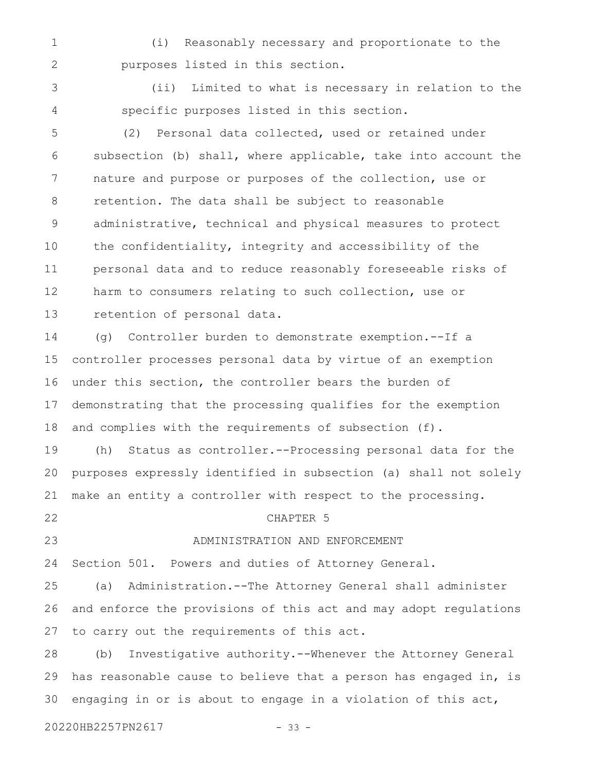(i) Reasonably necessary and proportionate to the purposes listed in this section. 1 2

(ii) Limited to what is necessary in relation to the specific purposes listed in this section. 3 4

(2) Personal data collected, used or retained under subsection (b) shall, where applicable, take into account the nature and purpose or purposes of the collection, use or retention. The data shall be subject to reasonable administrative, technical and physical measures to protect the confidentiality, integrity and accessibility of the personal data and to reduce reasonably foreseeable risks of harm to consumers relating to such collection, use or retention of personal data. 5 6 7 8 9 10 11 12 13

(g) Controller burden to demonstrate exemption.--If a controller processes personal data by virtue of an exemption under this section, the controller bears the burden of demonstrating that the processing qualifies for the exemption and complies with the requirements of subsection (f). 14 15 16 17 18

(h) Status as controller.--Processing personal data for the purposes expressly identified in subsection (a) shall not solely make an entity a controller with respect to the processing. 19 20 21

22

23

## ADMINISTRATION AND ENFORCEMENT

CHAPTER 5

Section 501. Powers and duties of Attorney General. 24

(a) Administration.--The Attorney General shall administer and enforce the provisions of this act and may adopt regulations to carry out the requirements of this act. 25 26 27

(b) Investigative authority.--Whenever the Attorney General has reasonable cause to believe that a person has engaged in, is engaging in or is about to engage in a violation of this act, 28 29 30

20220HB2257PN2617 - 33 -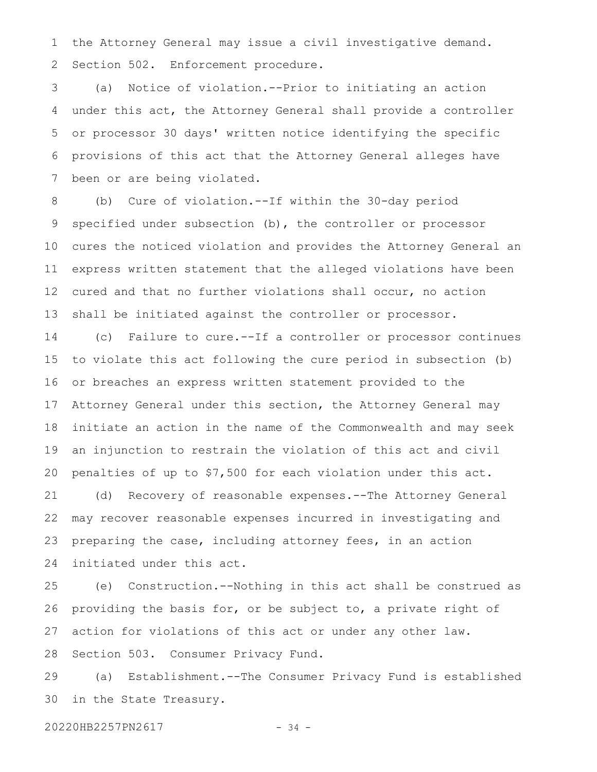the Attorney General may issue a civil investigative demand. Section 502. Enforcement procedure. 1 2

(a) Notice of violation.--Prior to initiating an action under this act, the Attorney General shall provide a controller or processor 30 days' written notice identifying the specific provisions of this act that the Attorney General alleges have been or are being violated. 3 4 5 6 7

(b) Cure of violation.--If within the 30-day period specified under subsection (b), the controller or processor cures the noticed violation and provides the Attorney General an express written statement that the alleged violations have been cured and that no further violations shall occur, no action shall be initiated against the controller or processor. 8 9 10 11 12 13

(c) Failure to cure.--If a controller or processor continues to violate this act following the cure period in subsection (b) or breaches an express written statement provided to the Attorney General under this section, the Attorney General may initiate an action in the name of the Commonwealth and may seek an injunction to restrain the violation of this act and civil penalties of up to \$7,500 for each violation under this act. 14 15 16 17 18 19 20

(d) Recovery of reasonable expenses.--The Attorney General may recover reasonable expenses incurred in investigating and preparing the case, including attorney fees, in an action initiated under this act. 21 22 23 24

(e) Construction.--Nothing in this act shall be construed as providing the basis for, or be subject to, a private right of action for violations of this act or under any other law. Section 503. Consumer Privacy Fund. 25 26 27 28

(a) Establishment.--The Consumer Privacy Fund is established in the State Treasury. 29 30

20220HB2257PN2617 - 34 -